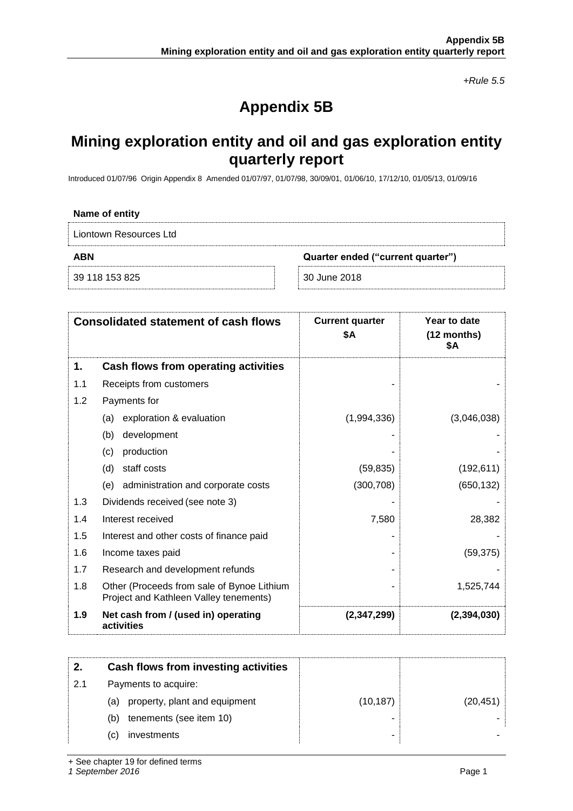*+Rule 5.5*

# **Appendix 5B**

# **Mining exploration entity and oil and gas exploration entity quarterly report**

Introduced 01/07/96 Origin Appendix 8 Amended 01/07/97, 01/07/98, 30/09/01, 01/06/10, 17/12/10, 01/05/13, 01/09/16

| Name of entity                           |              |
|------------------------------------------|--------------|
| Liontown Resources Ltd                   |              |
| ABN<br>Quarter ended ("current quarter") |              |
| 39 118 153 825                           | 30 June 2018 |

|     | <b>Consolidated statement of cash flows</b>                                          | <b>Current quarter</b><br>\$Α | Year to date<br>$(12$ months)<br>\$Α |
|-----|--------------------------------------------------------------------------------------|-------------------------------|--------------------------------------|
| 1.  | Cash flows from operating activities                                                 |                               |                                      |
| 1.1 | Receipts from customers                                                              |                               |                                      |
| 1.2 | Payments for                                                                         |                               |                                      |
|     | exploration & evaluation<br>(a)                                                      | (1,994,336)                   | (3,046,038)                          |
|     | development<br>(b)                                                                   |                               |                                      |
|     | production<br>(c)                                                                    |                               |                                      |
|     | staff costs<br>(d)                                                                   | (59, 835)                     | (192, 611)                           |
|     | administration and corporate costs<br>(e)                                            | (300, 708)                    | (650, 132)                           |
| 1.3 | Dividends received (see note 3)                                                      |                               |                                      |
| 1.4 | Interest received                                                                    | 7,580                         | 28,382                               |
| 1.5 | Interest and other costs of finance paid                                             |                               |                                      |
| 1.6 | Income taxes paid                                                                    |                               | (59, 375)                            |
| 1.7 | Research and development refunds                                                     |                               |                                      |
| 1.8 | Other (Proceeds from sale of Bynoe Lithium<br>Project and Kathleen Valley tenements) |                               | 1,525,744                            |
| 1.9 | Net cash from / (used in) operating<br>activities                                    | (2,347,299)                   | (2, 394, 030)                        |

|     |     | Cash flows from investing activities |           |           |
|-----|-----|--------------------------------------|-----------|-----------|
| 2.1 |     | Payments to acquire:                 |           |           |
|     | (a) | property, plant and equipment        | (10, 187) | (20, 451) |
|     | (b) | tenements (see item 10)              |           |           |
|     | (C) | investments                          |           |           |

+ See chapter 19 for defined terms

*1 September 2016* Page 1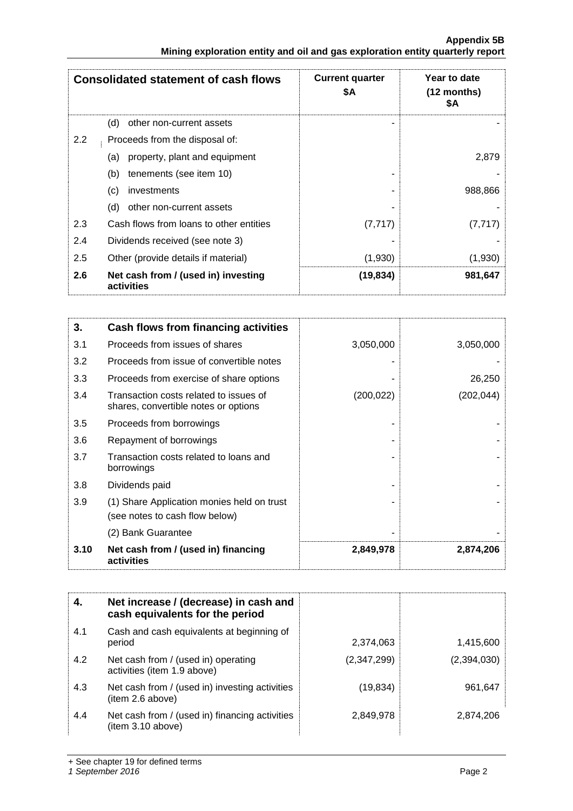|                                                                               | <b>Appendix 5B</b> |
|-------------------------------------------------------------------------------|--------------------|
| Mining exploration entity and oil and gas exploration entity quarterly report |                    |

|     | <b>Consolidated statement of cash flows</b>       | <b>Current quarter</b><br>\$Α | Year to date<br>$(12$ months)<br>\$Α |
|-----|---------------------------------------------------|-------------------------------|--------------------------------------|
|     | (d)<br>other non-current assets                   |                               |                                      |
| 2.2 | Proceeds from the disposal of:                    |                               |                                      |
|     | property, plant and equipment<br>(a)              |                               | 2,879                                |
|     | (b)<br>tenements (see item 10)                    |                               |                                      |
|     | (c)<br>investments                                |                               | 988,866                              |
|     | (d)<br>other non-current assets                   |                               |                                      |
| 2.3 | Cash flows from loans to other entities           | (7, 717)                      | (7, 717)                             |
| 2.4 | Dividends received (see note 3)                   |                               |                                      |
| 2.5 | Other (provide details if material)               | (1,930)                       | (1,930)                              |
| 2.6 | Net cash from / (used in) investing<br>activities | (19, 834)                     | 981,647                              |

| 3.   | Cash flows from financing activities                                           |            |            |
|------|--------------------------------------------------------------------------------|------------|------------|
| 3.1  | Proceeds from issues of shares                                                 | 3,050,000  | 3,050,000  |
| 3.2  | Proceeds from issue of convertible notes                                       |            |            |
| 3.3  | Proceeds from exercise of share options                                        |            | 26,250     |
| 3.4  | Transaction costs related to issues of<br>shares, convertible notes or options | (200, 022) | (202, 044) |
| 3.5  | Proceeds from borrowings                                                       |            |            |
| 3.6  | Repayment of borrowings                                                        |            |            |
| 3.7  | Transaction costs related to loans and<br>borrowings                           |            |            |
| 3.8  | Dividends paid                                                                 |            |            |
| 3.9  | (1) Share Application monies held on trust<br>(see notes to cash flow below)   |            |            |
|      | (2) Bank Guarantee                                                             |            |            |
| 3.10 | Net cash from / (used in) financing<br>activities                              | 2,849,978  | 2,874,206  |

|     | Net increase / (decrease) in cash and<br>cash equivalents for the period |             |             |
|-----|--------------------------------------------------------------------------|-------------|-------------|
| 4.1 | Cash and cash equivalents at beginning of<br>period                      | 2,374,063   | 1,415,600   |
| 4.2 | Net cash from / (used in) operating<br>activities (item 1.9 above)       | (2,347,299) | (2,394,030) |
| 4.3 | Net cash from / (used in) investing activities<br>(item 2.6 above)       | (19, 834)   | 961,647     |
| 4.4 | Net cash from / (used in) financing activities<br>(item 3.10 above)      | 2,849,978   | 2,874,206   |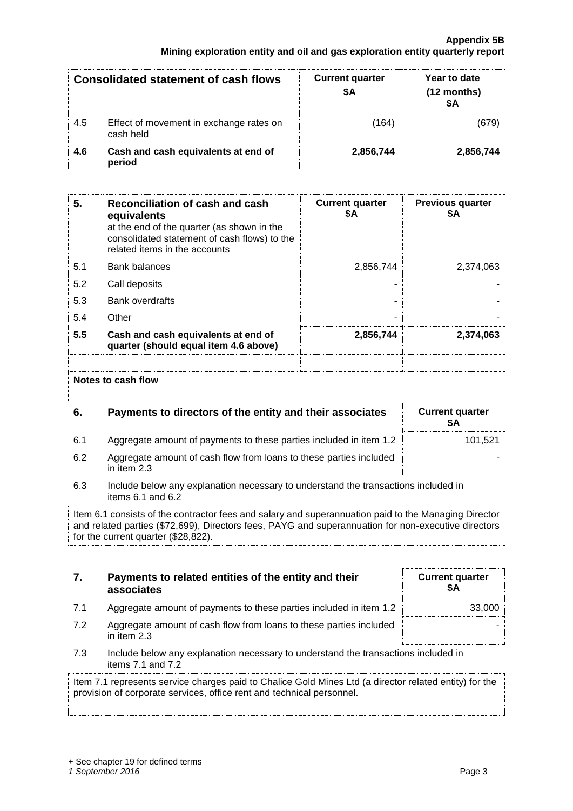#### **Appendix 5B Mining exploration entity and oil and gas exploration entity quarterly report**

|     | <b>Consolidated statement of cash flows</b>          | <b>Current quarter</b><br>\$A | Year to date<br>(12 months) |
|-----|------------------------------------------------------|-------------------------------|-----------------------------|
| 4.5 | Effect of movement in exchange rates on<br>cash held | (164)                         |                             |
| 4.6 | Cash and cash equivalents at end of<br>period        | 2,856,744                     | 2,856,744                   |

| 5.  | Reconciliation of cash and cash<br>equivalents<br>at the end of the quarter (as shown in the<br>consolidated statement of cash flows) to the<br>related items in the accounts | <b>Current quarter</b><br>\$Α | <b>Previous quarter</b><br>\$Α |
|-----|-------------------------------------------------------------------------------------------------------------------------------------------------------------------------------|-------------------------------|--------------------------------|
| 5.1 | Bank balances                                                                                                                                                                 | 2,856,744                     | 2,374,063                      |
| 5.2 | Call deposits                                                                                                                                                                 |                               |                                |
| 5.3 | <b>Bank overdrafts</b>                                                                                                                                                        |                               |                                |
| 5.4 | Other                                                                                                                                                                         |                               |                                |
| 5.5 | Cash and cash equivalents at end of<br>quarter (should equal item 4.6 above)                                                                                                  | 2,856,744                     | 2,374,063                      |
|     | Notes to cash flow                                                                                                                                                            |                               |                                |
| 6.  | Payments to directors of the entity and their associates                                                                                                                      |                               | <b>Current quarter</b><br>\$Α  |
| 6.1 | Aggregate amount of payments to these parties included in item 1.2                                                                                                            |                               | 101,521                        |

- 6.2 Aggregate amount of cash flow from loans to these parties included in item 2.3
- 6.3 Include below any explanation necessary to understand the transactions included in items 6.1 and 6.2

Item 6.1 consists of the contractor fees and salary and superannuation paid to the Managing Director and related parties (\$72,699), Directors fees, PAYG and superannuation for non-executive directors for the current quarter (\$28,822).

| 7.  | Payments to related entities of the entity and their<br>associates                | <b>Current quarter</b><br>\$Α |
|-----|-----------------------------------------------------------------------------------|-------------------------------|
| 7.1 | Aggregate amount of payments to these parties included in item 1.2                | 33,000                        |
| 7.2 | Aggregate amount of cash flow from loans to these parties included<br>in item 2.3 |                               |

7.3 Include below any explanation necessary to understand the transactions included in items 7.1 and 7.2

Item 7.1 represents service charges paid to Chalice Gold Mines Ltd (a director related entity) for the provision of corporate services, office rent and technical personnel.

-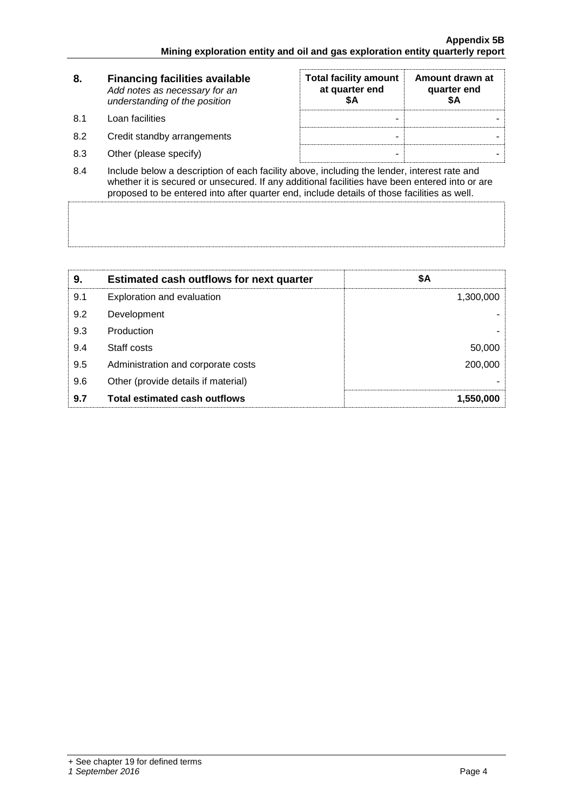| 8.                 | <b>Financing facilities available</b><br>Add notes as necessary for an<br>understanding of the position | <b>Total facility amount</b><br>at quarter end<br>SΑ | Amount drawn at<br>quarter end<br>SΑ |
|--------------------|---------------------------------------------------------------------------------------------------------|------------------------------------------------------|--------------------------------------|
| 8.1                | Loan facilities                                                                                         | -                                                    |                                      |
| 8.2                | Credit standby arrangements                                                                             | -                                                    |                                      |
| 8.3                | Other (please specify)                                                                                  | -                                                    |                                      |
| $\Omega$ $\Lambda$ | loclude helow a description of each facility above including the lender interest rate and               |                                                      |                                      |

8.4 Include below a description of each facility above, including the lender, interest rate and whether it is secured or unsecured. If any additional facilities have been entered into or are proposed to be entered into after quarter end, include details of those facilities as well.

| 9.  | <b>Estimated cash outflows for next quarter</b> | \$Α       |
|-----|-------------------------------------------------|-----------|
| 9.1 | Exploration and evaluation                      | 1,300,000 |
| 9.2 | Development                                     |           |
| 9.3 | Production                                      |           |
| 9.4 | Staff costs                                     | 50,000    |
| 9.5 | Administration and corporate costs              | 200,000   |
| 9.6 | Other (provide details if material)             |           |
| 9.7 | <b>Total estimated cash outflows</b>            | 1,550,000 |